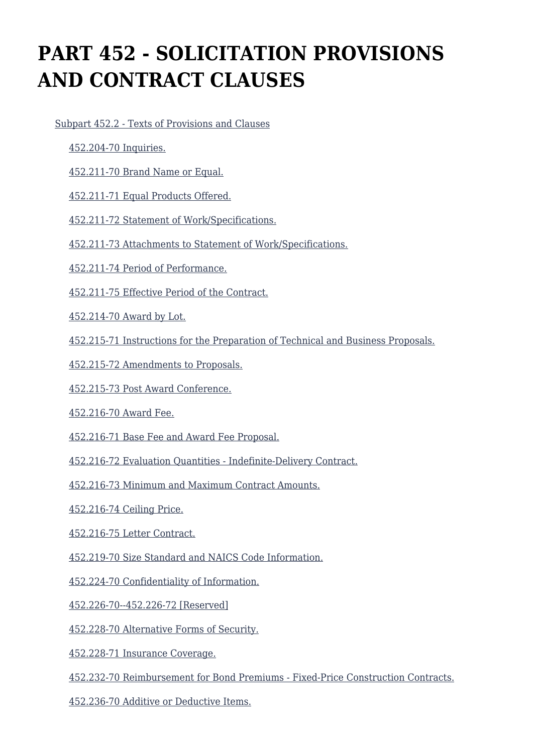# **PART 452 - SOLICITATION PROVISIONS AND CONTRACT CLAUSES**

[Subpart 452.2 - Texts of Provisions and Clauses](https://origin-www.acquisition.gov/%5Brp:link:agar-part-452%5D#Subpart_452_2_T48_40218511)

- [452.204-70 Inquiries.](https://origin-www.acquisition.gov/%5Brp:link:agar-part-452%5D#Section_452_204_70_T48_4021851111)
- [452.211-70 Brand Name or Equal.](https://origin-www.acquisition.gov/%5Brp:link:agar-part-452%5D#Section_452_211_70_T48_4021851112)
- [452.211-71 Equal Products Offered.](https://origin-www.acquisition.gov/%5Brp:link:agar-part-452%5D#Section_452_211_71_T48_4021851113)
- [452.211-72 Statement of Work/Specifications.](https://origin-www.acquisition.gov/%5Brp:link:agar-part-452%5D#Section_452_211_72_T48_4021851114)
- [452.211-73 Attachments to Statement of Work/Specifications.](https://origin-www.acquisition.gov/%5Brp:link:agar-part-452%5D#Section_452_211_73_T48_4021851115)
- [452.211-74 Period of Performance.](https://origin-www.acquisition.gov/%5Brp:link:agar-part-452%5D#Section_452_211_74_T48_4021851116)
- [452.211-75 Effective Period of the Contract.](https://origin-www.acquisition.gov/%5Brp:link:agar-part-452%5D#Section_452_211_75_T48_4021851117)
- [452.214-70 Award by Lot.](https://origin-www.acquisition.gov/%5Brp:link:agar-part-452%5D#Section_452_214_70_T48_4021851118)
- [452.215-71 Instructions for the Preparation of Technical and Business Proposals.](https://origin-www.acquisition.gov/%5Brp:link:agar-part-452%5D#Section_452_215_71_T48_4021851119)
- [452.215-72 Amendments to Proposals.](https://origin-www.acquisition.gov/%5Brp:link:agar-part-452%5D#Section_452_215_72_T48_40218511110)
- [452.215-73 Post Award Conference.](https://origin-www.acquisition.gov/%5Brp:link:agar-part-452%5D#Section_452_215_73_T48_40218511111)
- [452.216-70 Award Fee.](https://origin-www.acquisition.gov/%5Brp:link:agar-part-452%5D#Section_452_216_70_T48_40218511112)
- [452.216-71 Base Fee and Award Fee Proposal.](https://origin-www.acquisition.gov/%5Brp:link:agar-part-452%5D#Section_452_216_71_T48_40218511113)
- [452.216-72 Evaluation Quantities Indefinite-Delivery Contract.](https://origin-www.acquisition.gov/%5Brp:link:agar-part-452%5D#Section_452_216_72_T48_40218511114)
- [452.216-73 Minimum and Maximum Contract Amounts.](https://origin-www.acquisition.gov/%5Brp:link:agar-part-452%5D#Section_452_216_73_T48_40218511115)
- [452.216-74 Ceiling Price.](https://origin-www.acquisition.gov/%5Brp:link:agar-part-452%5D#Section_452_216_74_T48_40218511116)
- [452.216-75 Letter Contract.](https://origin-www.acquisition.gov/%5Brp:link:agar-part-452%5D#Section_452_216_75_T48_40218511117)
- [452.219-70 Size Standard and NAICS Code Information.](https://origin-www.acquisition.gov/%5Brp:link:agar-part-452%5D#Section_452_219_70_T48_40218511118)
- [452.224-70 Confidentiality of Information.](https://origin-www.acquisition.gov/%5Brp:link:agar-part-452%5D#Section_452_224_70_T48_40218511119)
- [452.226-70--452.226-72 \[Reserved\]](https://origin-www.acquisition.gov/%5Brp:link:agar-part-452%5D#Section_452_226_70_452_226_72_T48_40218511120)
- [452.228-70 Alternative Forms of Security.](https://origin-www.acquisition.gov/%5Brp:link:agar-part-452%5D#Section_452_228_70_T48_40218511121)
- [452.228-71 Insurance Coverage.](https://origin-www.acquisition.gov/%5Brp:link:agar-part-452%5D#Section_452_228_71_T48_40218511122)
- [452.232-70 Reimbursement for Bond Premiums Fixed-Price Construction Contracts.](https://origin-www.acquisition.gov/%5Brp:link:agar-part-452%5D#Section_452_232_70_T48_40218511123)
- [452.236-70 Additive or Deductive Items.](https://origin-www.acquisition.gov/%5Brp:link:agar-part-452%5D#Section_452_236_70_T48_40218511124)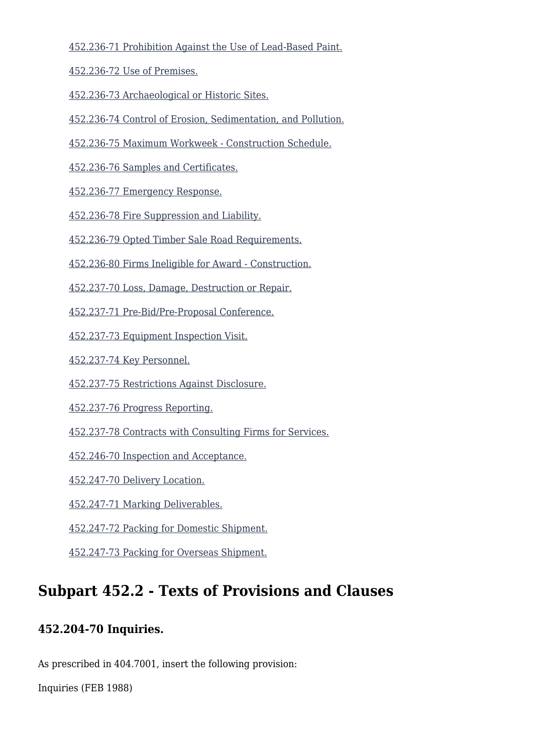[452.236-71 Prohibition Against the Use of Lead-Based Paint.](https://origin-www.acquisition.gov/%5Brp:link:agar-part-452%5D#Section_452_236_71_T48_40218511125)

[452.236-72 Use of Premises.](https://origin-www.acquisition.gov/%5Brp:link:agar-part-452%5D#Section_452_236_72_T48_40218511126)

[452.236-73 Archaeological or Historic Sites.](https://origin-www.acquisition.gov/%5Brp:link:agar-part-452%5D#Section_452_236_73_T48_40218511127)

[452.236-74 Control of Erosion, Sedimentation, and Pollution.](https://origin-www.acquisition.gov/%5Brp:link:agar-part-452%5D#Section_452_236_74_T48_40218511128)

[452.236-75 Maximum Workweek - Construction Schedule.](https://origin-www.acquisition.gov/%5Brp:link:agar-part-452%5D#Section_452_236_75_T48_40218511129)

[452.236-76 Samples and Certificates.](https://origin-www.acquisition.gov/%5Brp:link:agar-part-452%5D#Section_452_236_76_T48_40218511130)

[452.236-77 Emergency Response.](https://origin-www.acquisition.gov/%5Brp:link:agar-part-452%5D#Section_452_236_77_T48_40218511131)

[452.236-78 Fire Suppression and Liability.](https://origin-www.acquisition.gov/%5Brp:link:agar-part-452%5D#Section_452_236_78_T48_40218511132)

[452.236-79 Opted Timber Sale Road Requirements.](https://origin-www.acquisition.gov/%5Brp:link:agar-part-452%5D#Section_452_236_79_T48_40218511133)

[452.236-80 Firms Ineligible for Award - Construction.](https://origin-www.acquisition.gov/%5Brp:link:agar-part-452%5D#Section_452_236_80_T48_40218511134)

[452.237-70 Loss, Damage, Destruction or Repair.](https://origin-www.acquisition.gov/%5Brp:link:agar-part-452%5D#Section_452_237_70_T48_40218511135)

[452.237-71 Pre-Bid/Pre-Proposal Conference.](https://origin-www.acquisition.gov/%5Brp:link:agar-part-452%5D#Section_452_237_71_T48_40218511136)

[452.237-73 Equipment Inspection Visit.](https://origin-www.acquisition.gov/%5Brp:link:agar-part-452%5D#Section_452_237_73_T48_40218511137)

[452.237-74 Key Personnel.](https://origin-www.acquisition.gov/%5Brp:link:agar-part-452%5D#Section_452_237_74_T48_40218511138)

[452.237-75 Restrictions Against Disclosure.](https://origin-www.acquisition.gov/%5Brp:link:agar-part-452%5D#Section_452_237_75_T48_40218511139)

[452.237-76 Progress Reporting.](https://origin-www.acquisition.gov/%5Brp:link:agar-part-452%5D#Section_452_237_76_T48_40218511140)

[452.237-78 Contracts with Consulting Firms for Services.](https://origin-www.acquisition.gov/%5Brp:link:agar-part-452%5D#Section_452_237_78_T48_40218511141)

[452.246-70 Inspection and Acceptance.](https://origin-www.acquisition.gov/%5Brp:link:agar-part-452%5D#Section_452_246_70_T48_40218511142)

[452.247-70 Delivery Location.](https://origin-www.acquisition.gov/%5Brp:link:agar-part-452%5D#Section_452_247_70_T48_40218511143)

[452.247-71 Marking Deliverables.](https://origin-www.acquisition.gov/%5Brp:link:agar-part-452%5D#Section_452_247_71_T48_40218511144)

[452.247-72 Packing for Domestic Shipment.](https://origin-www.acquisition.gov/%5Brp:link:agar-part-452%5D#Section_452_247_72_T48_40218511145)

[452.247-73 Packing for Overseas Shipment.](https://origin-www.acquisition.gov/%5Brp:link:agar-part-452%5D#Section_452_247_73_T48_40218511146)

# **Subpart 452.2 - Texts of Provisions and Clauses**

#### **452.204-70 Inquiries.**

As prescribed in 404.7001, insert the following provision:

Inquiries (FEB 1988)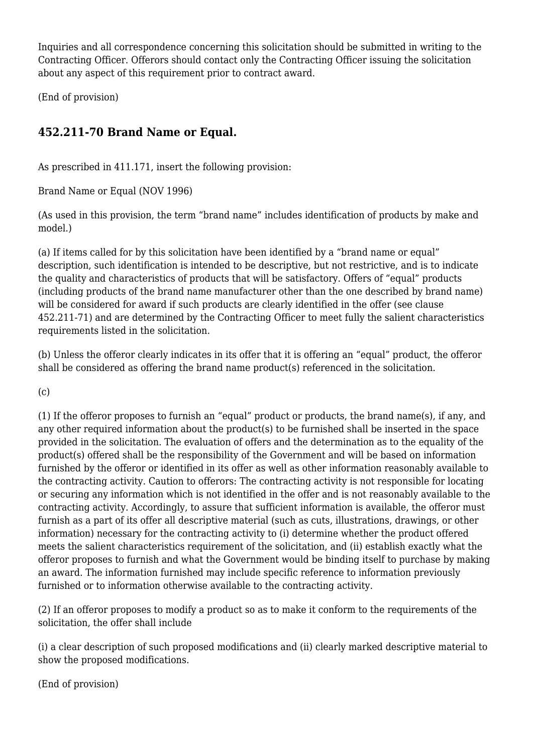Inquiries and all correspondence concerning this solicitation should be submitted in writing to the Contracting Officer. Offerors should contact only the Contracting Officer issuing the solicitation about any aspect of this requirement prior to contract award.

(End of provision)

# **452.211-70 Brand Name or Equal.**

As prescribed in 411.171, insert the following provision:

Brand Name or Equal (NOV 1996)

(As used in this provision, the term "brand name" includes identification of products by make and model.)

(a) If items called for by this solicitation have been identified by a "brand name or equal" description, such identification is intended to be descriptive, but not restrictive, and is to indicate the quality and characteristics of products that will be satisfactory. Offers of "equal" products (including products of the brand name manufacturer other than the one described by brand name) will be considered for award if such products are clearly identified in the offer (see clause 452.211-71) and are determined by the Contracting Officer to meet fully the salient characteristics requirements listed in the solicitation.

(b) Unless the offeror clearly indicates in its offer that it is offering an "equal" product, the offeror shall be considered as offering the brand name product(s) referenced in the solicitation.

 $(c)$ 

(1) If the offeror proposes to furnish an "equal" product or products, the brand name(s), if any, and any other required information about the product(s) to be furnished shall be inserted in the space provided in the solicitation. The evaluation of offers and the determination as to the equality of the product(s) offered shall be the responsibility of the Government and will be based on information furnished by the offeror or identified in its offer as well as other information reasonably available to the contracting activity. Caution to offerors: The contracting activity is not responsible for locating or securing any information which is not identified in the offer and is not reasonably available to the contracting activity. Accordingly, to assure that sufficient information is available, the offeror must furnish as a part of its offer all descriptive material (such as cuts, illustrations, drawings, or other information) necessary for the contracting activity to (i) determine whether the product offered meets the salient characteristics requirement of the solicitation, and (ii) establish exactly what the offeror proposes to furnish and what the Government would be binding itself to purchase by making an award. The information furnished may include specific reference to information previously furnished or to information otherwise available to the contracting activity.

(2) If an offeror proposes to modify a product so as to make it conform to the requirements of the solicitation, the offer shall include

(i) a clear description of such proposed modifications and (ii) clearly marked descriptive material to show the proposed modifications.

(End of provision)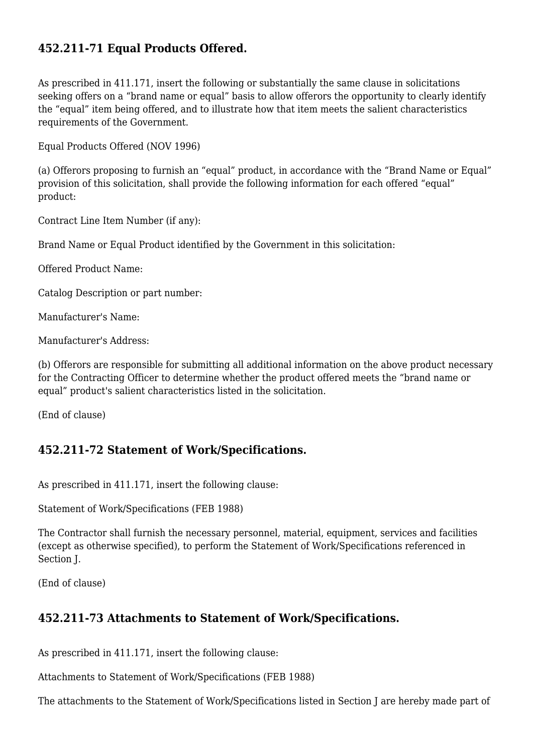## **452.211-71 Equal Products Offered.**

As prescribed in 411.171, insert the following or substantially the same clause in solicitations seeking offers on a "brand name or equal" basis to allow offerors the opportunity to clearly identify the "equal" item being offered, and to illustrate how that item meets the salient characteristics requirements of the Government.

Equal Products Offered (NOV 1996)

(a) Offerors proposing to furnish an "equal" product, in accordance with the "Brand Name or Equal" provision of this solicitation, shall provide the following information for each offered "equal" product:

Contract Line Item Number (if any):

Brand Name or Equal Product identified by the Government in this solicitation:

Offered Product Name:

Catalog Description or part number:

Manufacturer's Name:

Manufacturer's Address:

(b) Offerors are responsible for submitting all additional information on the above product necessary for the Contracting Officer to determine whether the product offered meets the "brand name or equal" product's salient characteristics listed in the solicitation.

(End of clause)

#### **452.211-72 Statement of Work/Specifications.**

As prescribed in 411.171, insert the following clause:

Statement of Work/Specifications (FEB 1988)

The Contractor shall furnish the necessary personnel, material, equipment, services and facilities (except as otherwise specified), to perform the Statement of Work/Specifications referenced in Section J.

(End of clause)

#### **452.211-73 Attachments to Statement of Work/Specifications.**

As prescribed in 411.171, insert the following clause:

Attachments to Statement of Work/Specifications (FEB 1988)

The attachments to the Statement of Work/Specifications listed in Section J are hereby made part of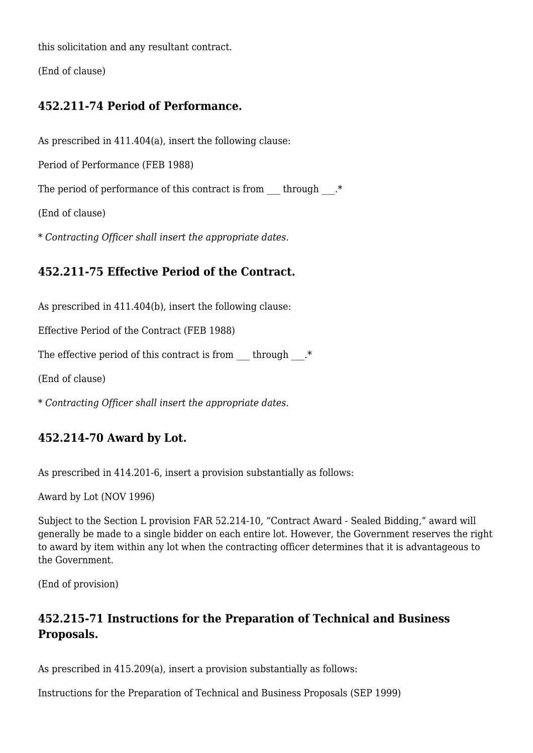this solicitation and any resultant contract.

(End of clause)

## **452.211-74 Period of Performance.**

As prescribed in 411.404(a), insert the following clause:

Period of Performance (FEB 1988)

The period of performance of this contract is from  $\qquad$  through  $.*$ 

(End of clause)

\* *Contracting Officer shall insert the appropriate dates.*

# **452.211-75 Effective Period of the Contract.**

As prescribed in 411.404(b), insert the following clause:

Effective Period of the Contract (FEB 1988)

The effective period of this contract is from  $\qquad$  through  $.*$ 

(End of clause)

\* *Contracting Officer shall insert the appropriate dates.*

# **452.214-70 Award by Lot.**

As prescribed in 414.201-6, insert a provision substantially as follows:

Award by Lot (NOV 1996)

Subject to the Section L provision FAR 52.214-10, "Contract Award - Sealed Bidding," award will generally be made to a single bidder on each entire lot. However, the Government reserves the right to award by item within any lot when the contracting officer determines that it is advantageous to the Government.

(End of provision)

## **452.215-71 Instructions for the Preparation of Technical and Business Proposals.**

As prescribed in 415.209(a), insert a provision substantially as follows:

Instructions for the Preparation of Technical and Business Proposals (SEP 1999)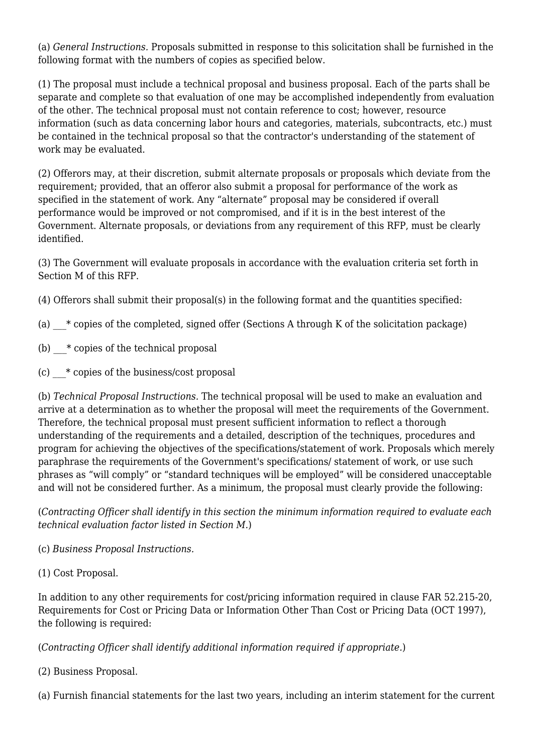(a) *General Instructions.* Proposals submitted in response to this solicitation shall be furnished in the following format with the numbers of copies as specified below.

(1) The proposal must include a technical proposal and business proposal. Each of the parts shall be separate and complete so that evaluation of one may be accomplished independently from evaluation of the other. The technical proposal must not contain reference to cost; however, resource information (such as data concerning labor hours and categories, materials, subcontracts, etc.) must be contained in the technical proposal so that the contractor's understanding of the statement of work may be evaluated.

(2) Offerors may, at their discretion, submit alternate proposals or proposals which deviate from the requirement; provided, that an offeror also submit a proposal for performance of the work as specified in the statement of work. Any "alternate" proposal may be considered if overall performance would be improved or not compromised, and if it is in the best interest of the Government. Alternate proposals, or deviations from any requirement of this RFP, must be clearly identified.

(3) The Government will evaluate proposals in accordance with the evaluation criteria set forth in Section M of this RFP.

- (4) Offerors shall submit their proposal(s) in the following format and the quantities specified:
- (a)  $*$  copies of the completed, signed offer (Sections A through K of the solicitation package)
- (b)  $*$  copies of the technical proposal
- (c)  $*$  copies of the business/cost proposal

(b) *Technical Proposal Instructions.* The technical proposal will be used to make an evaluation and arrive at a determination as to whether the proposal will meet the requirements of the Government. Therefore, the technical proposal must present sufficient information to reflect a thorough understanding of the requirements and a detailed, description of the techniques, procedures and program for achieving the objectives of the specifications/statement of work. Proposals which merely paraphrase the requirements of the Government's specifications/ statement of work, or use such phrases as "will comply" or "standard techniques will be employed" will be considered unacceptable and will not be considered further. As a minimum, the proposal must clearly provide the following:

(*Contracting Officer shall identify in this section the minimum information required to evaluate each technical evaluation factor listed in Section M.*)

(c) *Business Proposal Instructions.*

(1) Cost Proposal.

In addition to any other requirements for cost/pricing information required in clause FAR 52.215-20, Requirements for Cost or Pricing Data or Information Other Than Cost or Pricing Data (OCT 1997), the following is required:

(*Contracting Officer shall identify additional information required if appropriate.*)

(2) Business Proposal.

(a) Furnish financial statements for the last two years, including an interim statement for the current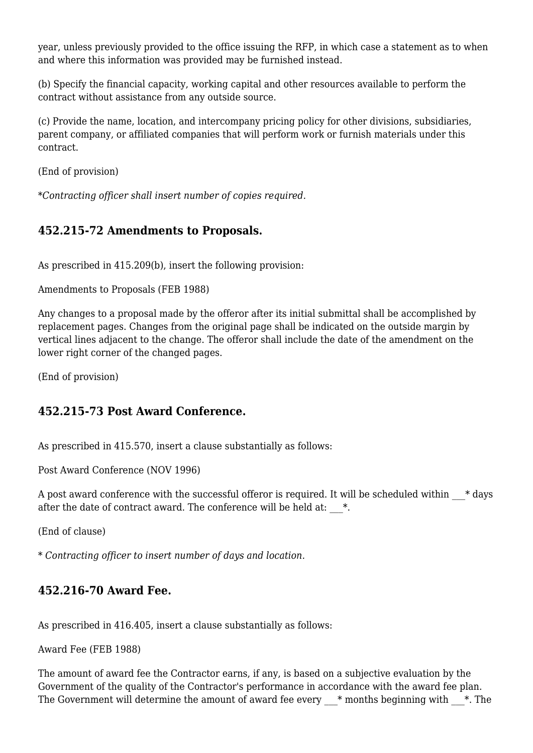year, unless previously provided to the office issuing the RFP, in which case a statement as to when and where this information was provided may be furnished instead.

(b) Specify the financial capacity, working capital and other resources available to perform the contract without assistance from any outside source.

(c) Provide the name, location, and intercompany pricing policy for other divisions, subsidiaries, parent company, or affiliated companies that will perform work or furnish materials under this contract.

(End of provision)

\**Contracting officer shall insert number of copies required.*

## **452.215-72 Amendments to Proposals.**

As prescribed in 415.209(b), insert the following provision:

Amendments to Proposals (FEB 1988)

Any changes to a proposal made by the offeror after its initial submittal shall be accomplished by replacement pages. Changes from the original page shall be indicated on the outside margin by vertical lines adjacent to the change. The offeror shall include the date of the amendment on the lower right corner of the changed pages.

(End of provision)

#### **452.215-73 Post Award Conference.**

As prescribed in 415.570, insert a clause substantially as follows:

Post Award Conference (NOV 1996)

A post award conference with the successful offeror is required. It will be scheduled within  $\ast$  days after the date of contract award. The conference will be held at:  $*$ .

(End of clause)

\* *Contracting officer to insert number of days and location.*

## **452.216-70 Award Fee.**

As prescribed in 416.405, insert a clause substantially as follows:

Award Fee (FEB 1988)

The amount of award fee the Contractor earns, if any, is based on a subjective evaluation by the Government of the quality of the Contractor's performance in accordance with the award fee plan. The Government will determine the amount of award fee every  $*$  months beginning with  $*$ . The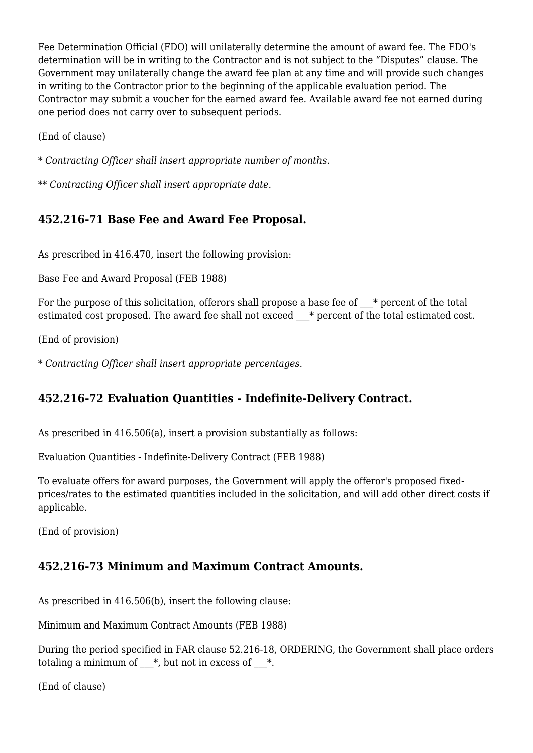Fee Determination Official (FDO) will unilaterally determine the amount of award fee. The FDO's determination will be in writing to the Contractor and is not subject to the "Disputes" clause. The Government may unilaterally change the award fee plan at any time and will provide such changes in writing to the Contractor prior to the beginning of the applicable evaluation period. The Contractor may submit a voucher for the earned award fee. Available award fee not earned during one period does not carry over to subsequent periods.

(End of clause)

\* *Contracting Officer shall insert appropriate number of months.*

\*\* *Contracting Officer shall insert appropriate date.*

## **452.216-71 Base Fee and Award Fee Proposal.**

As prescribed in 416.470, insert the following provision:

Base Fee and Award Proposal (FEB 1988)

For the purpose of this solicitation, offerors shall propose a base fee of  $*$  percent of the total estimated cost proposed. The award fee shall not exceed  $*$  percent of the total estimated cost.

(End of provision)

\* *Contracting Officer shall insert appropriate percentages.*

# **452.216-72 Evaluation Quantities - Indefinite-Delivery Contract.**

As prescribed in 416.506(a), insert a provision substantially as follows:

Evaluation Quantities - Indefinite-Delivery Contract (FEB 1988)

To evaluate offers for award purposes, the Government will apply the offeror's proposed fixedprices/rates to the estimated quantities included in the solicitation, and will add other direct costs if applicable.

(End of provision)

# **452.216-73 Minimum and Maximum Contract Amounts.**

As prescribed in 416.506(b), insert the following clause:

Minimum and Maximum Contract Amounts (FEB 1988)

During the period specified in FAR clause 52.216-18, ORDERING, the Government shall place orders totaling a minimum of  $*$ , but not in excess of  $*$ .

(End of clause)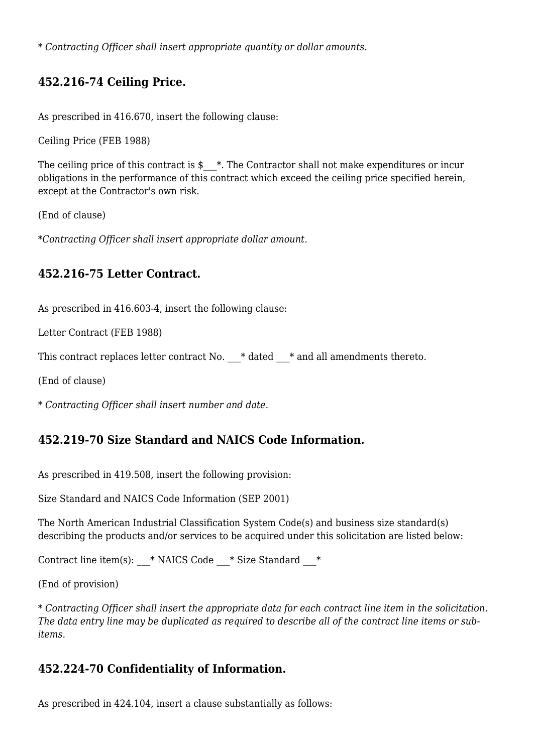\* *Contracting Officer shall insert appropriate quantity or dollar amounts.*

## **452.216-74 Ceiling Price.**

As prescribed in 416.670, insert the following clause:

Ceiling Price (FEB 1988)

The ceiling price of this contract is  $\frac{*}{*}$ . The Contractor shall not make expenditures or incur obligations in the performance of this contract which exceed the ceiling price specified herein, except at the Contractor's own risk.

(End of clause)

\**Contracting Officer shall insert appropriate dollar amount.*

#### **452.216-75 Letter Contract.**

As prescribed in 416.603-4, insert the following clause:

Letter Contract (FEB 1988)

This contract replaces letter contract No.  $*$  dated  $*$  and all amendments thereto.

(End of clause)

\* *Contracting Officer shall insert number and date.*

#### **452.219-70 Size Standard and NAICS Code Information.**

As prescribed in 419.508, insert the following provision:

Size Standard and NAICS Code Information (SEP 2001)

The North American Industrial Classification System Code(s) and business size standard(s) describing the products and/or services to be acquired under this solicitation are listed below:

Contract line item(s):  $*$  NAICS Code  $*$  Size Standard  $*$ 

(End of provision)

\* *Contracting Officer shall insert the appropriate data for each contract line item in the solicitation. The data entry line may be duplicated as required to describe all of the contract line items or subitems.*

#### **452.224-70 Confidentiality of Information.**

As prescribed in 424.104, insert a clause substantially as follows: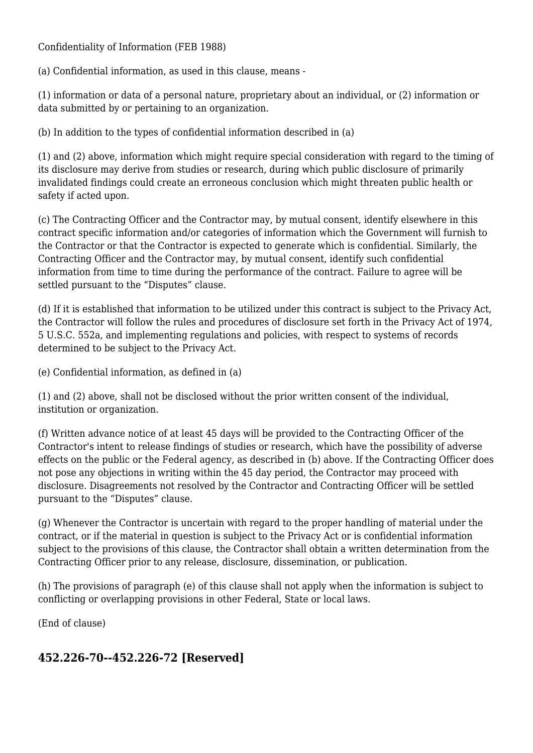Confidentiality of Information (FEB 1988)

(a) Confidential information, as used in this clause, means -

(1) information or data of a personal nature, proprietary about an individual, or (2) information or data submitted by or pertaining to an organization.

(b) In addition to the types of confidential information described in (a)

(1) and (2) above, information which might require special consideration with regard to the timing of its disclosure may derive from studies or research, during which public disclosure of primarily invalidated findings could create an erroneous conclusion which might threaten public health or safety if acted upon.

(c) The Contracting Officer and the Contractor may, by mutual consent, identify elsewhere in this contract specific information and/or categories of information which the Government will furnish to the Contractor or that the Contractor is expected to generate which is confidential. Similarly, the Contracting Officer and the Contractor may, by mutual consent, identify such confidential information from time to time during the performance of the contract. Failure to agree will be settled pursuant to the "Disputes" clause.

(d) If it is established that information to be utilized under this contract is subject to the Privacy Act, the Contractor will follow the rules and procedures of disclosure set forth in the Privacy Act of 1974, 5 U.S.C. 552a, and implementing regulations and policies, with respect to systems of records determined to be subject to the Privacy Act.

(e) Confidential information, as defined in (a)

(1) and (2) above, shall not be disclosed without the prior written consent of the individual, institution or organization.

(f) Written advance notice of at least 45 days will be provided to the Contracting Officer of the Contractor's intent to release findings of studies or research, which have the possibility of adverse effects on the public or the Federal agency, as described in (b) above. If the Contracting Officer does not pose any objections in writing within the 45 day period, the Contractor may proceed with disclosure. Disagreements not resolved by the Contractor and Contracting Officer will be settled pursuant to the "Disputes" clause.

(g) Whenever the Contractor is uncertain with regard to the proper handling of material under the contract, or if the material in question is subject to the Privacy Act or is confidential information subject to the provisions of this clause, the Contractor shall obtain a written determination from the Contracting Officer prior to any release, disclosure, dissemination, or publication.

(h) The provisions of paragraph (e) of this clause shall not apply when the information is subject to conflicting or overlapping provisions in other Federal, State or local laws.

(End of clause)

## **452.226-70--452.226-72 [Reserved]**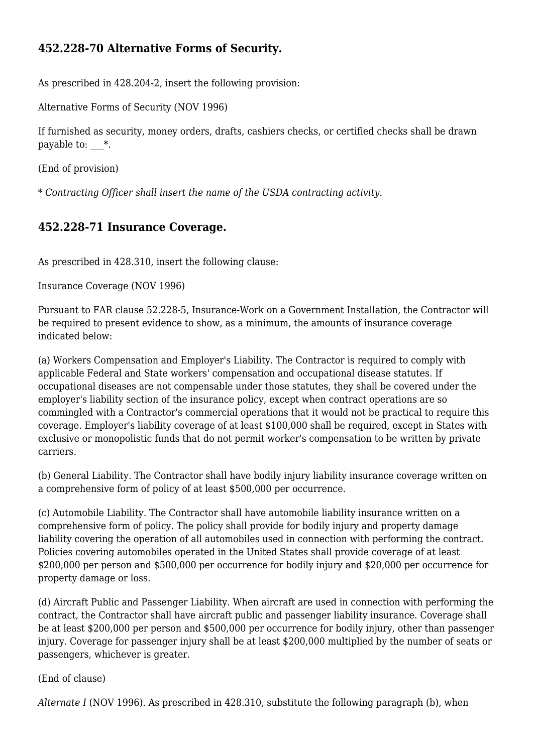## **452.228-70 Alternative Forms of Security.**

As prescribed in 428.204-2, insert the following provision:

Alternative Forms of Security (NOV 1996)

If furnished as security, money orders, drafts, cashiers checks, or certified checks shall be drawn payable to:  $*$ .

(End of provision)

\* *Contracting Officer shall insert the name of the USDA contracting activity.*

#### **452.228-71 Insurance Coverage.**

As prescribed in 428.310, insert the following clause:

Insurance Coverage (NOV 1996)

Pursuant to FAR clause 52.228-5, Insurance-Work on a Government Installation, the Contractor will be required to present evidence to show, as a minimum, the amounts of insurance coverage indicated below:

(a) Workers Compensation and Employer's Liability. The Contractor is required to comply with applicable Federal and State workers' compensation and occupational disease statutes. If occupational diseases are not compensable under those statutes, they shall be covered under the employer's liability section of the insurance policy, except when contract operations are so commingled with a Contractor's commercial operations that it would not be practical to require this coverage. Employer's liability coverage of at least \$100,000 shall be required, except in States with exclusive or monopolistic funds that do not permit worker's compensation to be written by private carriers.

(b) General Liability. The Contractor shall have bodily injury liability insurance coverage written on a comprehensive form of policy of at least \$500,000 per occurrence.

(c) Automobile Liability. The Contractor shall have automobile liability insurance written on a comprehensive form of policy. The policy shall provide for bodily injury and property damage liability covering the operation of all automobiles used in connection with performing the contract. Policies covering automobiles operated in the United States shall provide coverage of at least \$200,000 per person and \$500,000 per occurrence for bodily injury and \$20,000 per occurrence for property damage or loss.

(d) Aircraft Public and Passenger Liability. When aircraft are used in connection with performing the contract, the Contractor shall have aircraft public and passenger liability insurance. Coverage shall be at least \$200,000 per person and \$500,000 per occurrence for bodily injury, other than passenger injury. Coverage for passenger injury shall be at least \$200,000 multiplied by the number of seats or passengers, whichever is greater.

(End of clause)

*Alternate I* (NOV 1996). As prescribed in 428.310, substitute the following paragraph (b), when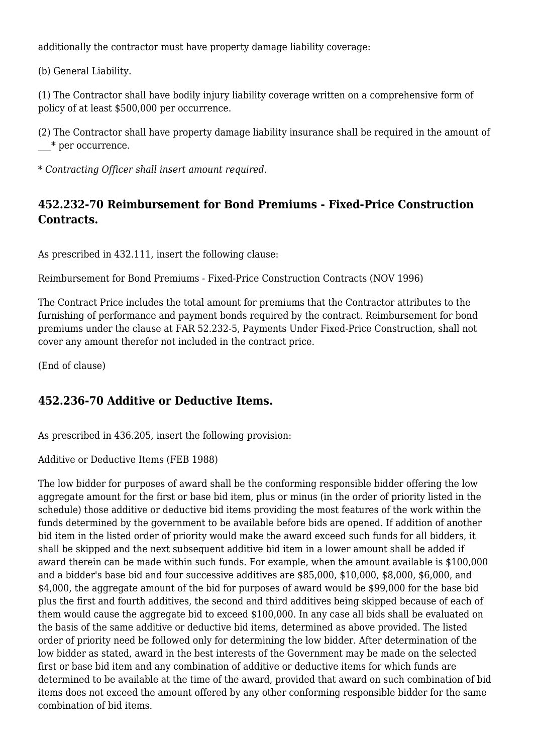additionally the contractor must have property damage liability coverage:

(b) General Liability.

(1) The Contractor shall have bodily injury liability coverage written on a comprehensive form of policy of at least \$500,000 per occurrence.

(2) The Contractor shall have property damage liability insurance shall be required in the amount of \_\_\_\* per occurrence.

\* *Contracting Officer shall insert amount required.*

## **452.232-70 Reimbursement for Bond Premiums - Fixed-Price Construction Contracts.**

As prescribed in 432.111, insert the following clause:

Reimbursement for Bond Premiums - Fixed-Price Construction Contracts (NOV 1996)

The Contract Price includes the total amount for premiums that the Contractor attributes to the furnishing of performance and payment bonds required by the contract. Reimbursement for bond premiums under the clause at FAR 52.232-5, Payments Under Fixed-Price Construction, shall not cover any amount therefor not included in the contract price.

(End of clause)

## **452.236-70 Additive or Deductive Items.**

As prescribed in 436.205, insert the following provision:

Additive or Deductive Items (FEB 1988)

The low bidder for purposes of award shall be the conforming responsible bidder offering the low aggregate amount for the first or base bid item, plus or minus (in the order of priority listed in the schedule) those additive or deductive bid items providing the most features of the work within the funds determined by the government to be available before bids are opened. If addition of another bid item in the listed order of priority would make the award exceed such funds for all bidders, it shall be skipped and the next subsequent additive bid item in a lower amount shall be added if award therein can be made within such funds. For example, when the amount available is \$100,000 and a bidder's base bid and four successive additives are \$85,000, \$10,000, \$8,000, \$6,000, and \$4,000, the aggregate amount of the bid for purposes of award would be \$99,000 for the base bid plus the first and fourth additives, the second and third additives being skipped because of each of them would cause the aggregate bid to exceed \$100,000. In any case all bids shall be evaluated on the basis of the same additive or deductive bid items, determined as above provided. The listed order of priority need be followed only for determining the low bidder. After determination of the low bidder as stated, award in the best interests of the Government may be made on the selected first or base bid item and any combination of additive or deductive items for which funds are determined to be available at the time of the award, provided that award on such combination of bid items does not exceed the amount offered by any other conforming responsible bidder for the same combination of bid items.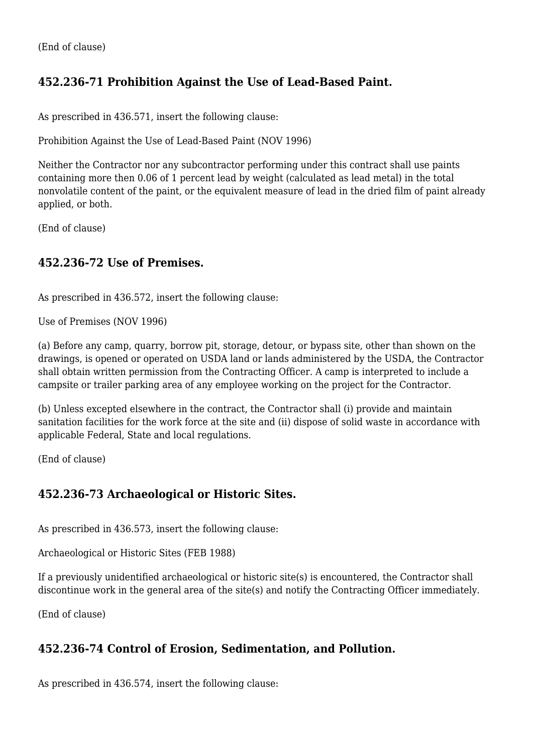# **452.236-71 Prohibition Against the Use of Lead-Based Paint.**

As prescribed in 436.571, insert the following clause:

Prohibition Against the Use of Lead-Based Paint (NOV 1996)

Neither the Contractor nor any subcontractor performing under this contract shall use paints containing more then 0.06 of 1 percent lead by weight (calculated as lead metal) in the total nonvolatile content of the paint, or the equivalent measure of lead in the dried film of paint already applied, or both.

(End of clause)

## **452.236-72 Use of Premises.**

As prescribed in 436.572, insert the following clause:

Use of Premises (NOV 1996)

(a) Before any camp, quarry, borrow pit, storage, detour, or bypass site, other than shown on the drawings, is opened or operated on USDA land or lands administered by the USDA, the Contractor shall obtain written permission from the Contracting Officer. A camp is interpreted to include a campsite or trailer parking area of any employee working on the project for the Contractor.

(b) Unless excepted elsewhere in the contract, the Contractor shall (i) provide and maintain sanitation facilities for the work force at the site and (ii) dispose of solid waste in accordance with applicable Federal, State and local regulations.

(End of clause)

## **452.236-73 Archaeological or Historic Sites.**

As prescribed in 436.573, insert the following clause:

Archaeological or Historic Sites (FEB 1988)

If a previously unidentified archaeological or historic site(s) is encountered, the Contractor shall discontinue work in the general area of the site(s) and notify the Contracting Officer immediately.

(End of clause)

## **452.236-74 Control of Erosion, Sedimentation, and Pollution.**

As prescribed in 436.574, insert the following clause: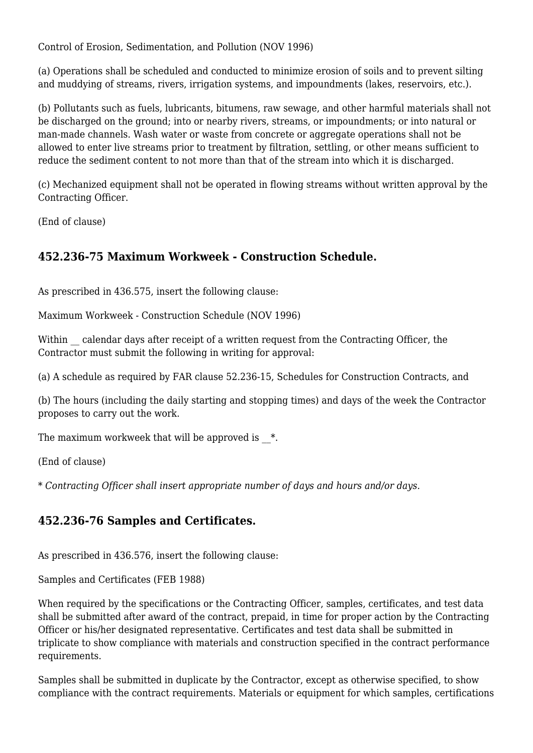Control of Erosion, Sedimentation, and Pollution (NOV 1996)

(a) Operations shall be scheduled and conducted to minimize erosion of soils and to prevent silting and muddying of streams, rivers, irrigation systems, and impoundments (lakes, reservoirs, etc.).

(b) Pollutants such as fuels, lubricants, bitumens, raw sewage, and other harmful materials shall not be discharged on the ground; into or nearby rivers, streams, or impoundments; or into natural or man-made channels. Wash water or waste from concrete or aggregate operations shall not be allowed to enter live streams prior to treatment by filtration, settling, or other means sufficient to reduce the sediment content to not more than that of the stream into which it is discharged.

(c) Mechanized equipment shall not be operated in flowing streams without written approval by the Contracting Officer.

(End of clause)

## **452.236-75 Maximum Workweek - Construction Schedule.**

As prescribed in 436.575, insert the following clause:

Maximum Workweek - Construction Schedule (NOV 1996)

Within calendar days after receipt of a written request from the Contracting Officer, the Contractor must submit the following in writing for approval:

(a) A schedule as required by FAR clause 52.236-15, Schedules for Construction Contracts, and

(b) The hours (including the daily starting and stopping times) and days of the week the Contractor proposes to carry out the work.

The maximum workweek that will be approved is  $*$ .

(End of clause)

\* *Contracting Officer shall insert appropriate number of days and hours and/or days.*

## **452.236-76 Samples and Certificates.**

As prescribed in 436.576, insert the following clause:

Samples and Certificates (FEB 1988)

When required by the specifications or the Contracting Officer, samples, certificates, and test data shall be submitted after award of the contract, prepaid, in time for proper action by the Contracting Officer or his/her designated representative. Certificates and test data shall be submitted in triplicate to show compliance with materials and construction specified in the contract performance requirements.

Samples shall be submitted in duplicate by the Contractor, except as otherwise specified, to show compliance with the contract requirements. Materials or equipment for which samples, certifications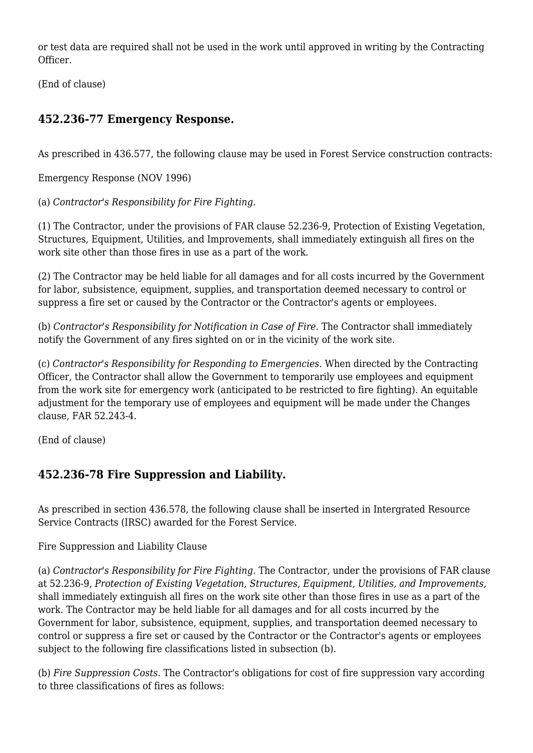or test data are required shall not be used in the work until approved in writing by the Contracting Officer.

(End of clause)

## **452.236-77 Emergency Response.**

As prescribed in 436.577, the following clause may be used in Forest Service construction contracts:

Emergency Response (NOV 1996)

(a) *Contractor's Responsibility for Fire Fighting.*

(1) The Contractor, under the provisions of FAR clause 52.236-9, Protection of Existing Vegetation, Structures, Equipment, Utilities, and Improvements, shall immediately extinguish all fires on the work site other than those fires in use as a part of the work.

(2) The Contractor may be held liable for all damages and for all costs incurred by the Government for labor, subsistence, equipment, supplies, and transportation deemed necessary to control or suppress a fire set or caused by the Contractor or the Contractor's agents or employees.

(b) *Contractor's Responsibility for Notification in Case of Fire.* The Contractor shall immediately notify the Government of any fires sighted on or in the vicinity of the work site.

(c) *Contractor's Responsibility for Responding to Emergencies.* When directed by the Contracting Officer, the Contractor shall allow the Government to temporarily use employees and equipment from the work site for emergency work (anticipated to be restricted to fire fighting). An equitable adjustment for the temporary use of employees and equipment will be made under the Changes clause, FAR 52.243-4.

(End of clause)

# **452.236-78 Fire Suppression and Liability.**

As prescribed in section 436.578, the following clause shall be inserted in Intergrated Resource Service Contracts (IRSC) awarded for the Forest Service.

#### Fire Suppression and Liability Clause

(a) *Contractor's Responsibility for Fire Fighting.* The Contractor, under the provisions of FAR clause at 52.236-9, *Protection of Existing Vegetation, Structures, Equipment, Utilities, and Improvements,* shall immediately extinguish all fires on the work site other than those fires in use as a part of the work. The Contractor may be held liable for all damages and for all costs incurred by the Government for labor, subsistence, equipment, supplies, and transportation deemed necessary to control or suppress a fire set or caused by the Contractor or the Contractor's agents or employees subject to the following fire classifications listed in subsection (b).

(b) *Fire Suppression Costs.* The Contractor's obligations for cost of fire suppression vary according to three classifications of fires as follows: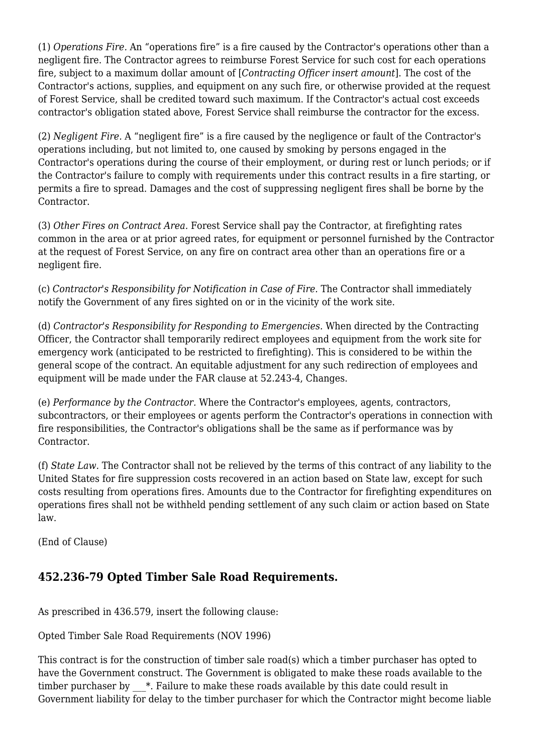(1) *Operations Fire.* An "operations fire" is a fire caused by the Contractor's operations other than a negligent fire. The Contractor agrees to reimburse Forest Service for such cost for each operations fire, subject to a maximum dollar amount of [*Contracting Officer insert amount*]. The cost of the Contractor's actions, supplies, and equipment on any such fire, or otherwise provided at the request of Forest Service, shall be credited toward such maximum. If the Contractor's actual cost exceeds contractor's obligation stated above, Forest Service shall reimburse the contractor for the excess.

(2) *Negligent Fire.* A "negligent fire" is a fire caused by the negligence or fault of the Contractor's operations including, but not limited to, one caused by smoking by persons engaged in the Contractor's operations during the course of their employment, or during rest or lunch periods; or if the Contractor's failure to comply with requirements under this contract results in a fire starting, or permits a fire to spread. Damages and the cost of suppressing negligent fires shall be borne by the Contractor.

(3) *Other Fires on Contract Area.* Forest Service shall pay the Contractor, at firefighting rates common in the area or at prior agreed rates, for equipment or personnel furnished by the Contractor at the request of Forest Service, on any fire on contract area other than an operations fire or a negligent fire.

(c) *Contractor's Responsibility for Notification in Case of Fire.* The Contractor shall immediately notify the Government of any fires sighted on or in the vicinity of the work site.

(d) *Contractor's Responsibility for Responding to Emergencies.* When directed by the Contracting Officer, the Contractor shall temporarily redirect employees and equipment from the work site for emergency work (anticipated to be restricted to firefighting). This is considered to be within the general scope of the contract. An equitable adjustment for any such redirection of employees and equipment will be made under the FAR clause at 52.243-4, Changes.

(e) *Performance by the Contractor.* Where the Contractor's employees, agents, contractors, subcontractors, or their employees or agents perform the Contractor's operations in connection with fire responsibilities, the Contractor's obligations shall be the same as if performance was by Contractor.

(f) *State Law.* The Contractor shall not be relieved by the terms of this contract of any liability to the United States for fire suppression costs recovered in an action based on State law, except for such costs resulting from operations fires. Amounts due to the Contractor for firefighting expenditures on operations fires shall not be withheld pending settlement of any such claim or action based on State law.

(End of Clause)

# **452.236-79 Opted Timber Sale Road Requirements.**

As prescribed in 436.579, insert the following clause:

Opted Timber Sale Road Requirements (NOV 1996)

This contract is for the construction of timber sale road(s) which a timber purchaser has opted to have the Government construct. The Government is obligated to make these roads available to the timber purchaser by  $*$ . Failure to make these roads available by this date could result in Government liability for delay to the timber purchaser for which the Contractor might become liable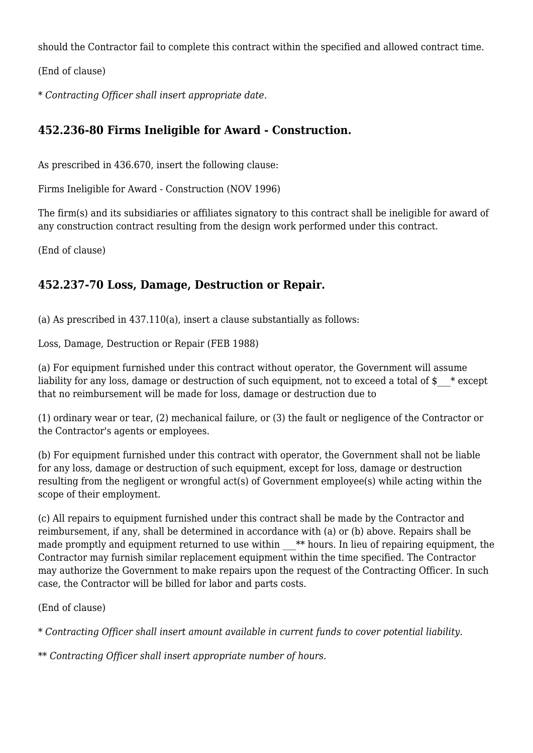should the Contractor fail to complete this contract within the specified and allowed contract time.

(End of clause)

\* *Contracting Officer shall insert appropriate date.*

## **452.236-80 Firms Ineligible for Award - Construction.**

As prescribed in 436.670, insert the following clause:

Firms Ineligible for Award - Construction (NOV 1996)

The firm(s) and its subsidiaries or affiliates signatory to this contract shall be ineligible for award of any construction contract resulting from the design work performed under this contract.

(End of clause)

## **452.237-70 Loss, Damage, Destruction or Repair.**

(a) As prescribed in 437.110(a), insert a clause substantially as follows:

Loss, Damage, Destruction or Repair (FEB 1988)

(a) For equipment furnished under this contract without operator, the Government will assume liability for any loss, damage or destruction of such equipment, not to exceed a total of  $\frac{1}{2}$  \* except that no reimbursement will be made for loss, damage or destruction due to

(1) ordinary wear or tear, (2) mechanical failure, or (3) the fault or negligence of the Contractor or the Contractor's agents or employees.

(b) For equipment furnished under this contract with operator, the Government shall not be liable for any loss, damage or destruction of such equipment, except for loss, damage or destruction resulting from the negligent or wrongful act(s) of Government employee(s) while acting within the scope of their employment.

(c) All repairs to equipment furnished under this contract shall be made by the Contractor and reimbursement, if any, shall be determined in accordance with (a) or (b) above. Repairs shall be made promptly and equipment returned to use within  $*$  the lieu of repairing equipment, the Contractor may furnish similar replacement equipment within the time specified. The Contractor may authorize the Government to make repairs upon the request of the Contracting Officer. In such case, the Contractor will be billed for labor and parts costs.

(End of clause)

\* *Contracting Officer shall insert amount available in current funds to cover potential liability.*

\*\* *Contracting Officer shall insert appropriate number of hours.*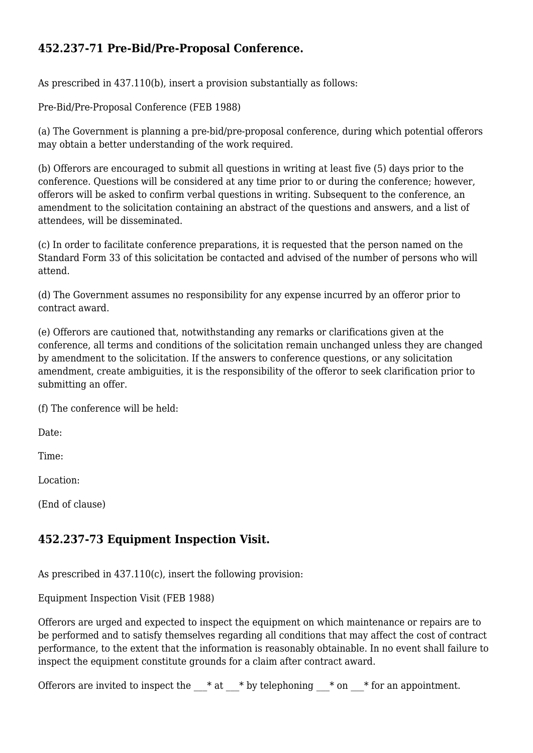# **452.237-71 Pre-Bid/Pre-Proposal Conference.**

As prescribed in 437.110(b), insert a provision substantially as follows:

Pre-Bid/Pre-Proposal Conference (FEB 1988)

(a) The Government is planning a pre-bid/pre-proposal conference, during which potential offerors may obtain a better understanding of the work required.

(b) Offerors are encouraged to submit all questions in writing at least five (5) days prior to the conference. Questions will be considered at any time prior to or during the conference; however, offerors will be asked to confirm verbal questions in writing. Subsequent to the conference, an amendment to the solicitation containing an abstract of the questions and answers, and a list of attendees, will be disseminated.

(c) In order to facilitate conference preparations, it is requested that the person named on the Standard Form 33 of this solicitation be contacted and advised of the number of persons who will attend.

(d) The Government assumes no responsibility for any expense incurred by an offeror prior to contract award.

(e) Offerors are cautioned that, notwithstanding any remarks or clarifications given at the conference, all terms and conditions of the solicitation remain unchanged unless they are changed by amendment to the solicitation. If the answers to conference questions, or any solicitation amendment, create ambiguities, it is the responsibility of the offeror to seek clarification prior to submitting an offer.

(f) The conference will be held:

Date:

Time:

Location:

(End of clause)

## **452.237-73 Equipment Inspection Visit.**

As prescribed in 437.110(c), insert the following provision:

Equipment Inspection Visit (FEB 1988)

Offerors are urged and expected to inspect the equipment on which maintenance or repairs are to be performed and to satisfy themselves regarding all conditions that may affect the cost of contract performance, to the extent that the information is reasonably obtainable. In no event shall failure to inspect the equipment constitute grounds for a claim after contract award.

Offerors are invited to inspect the  ${\_}^*$  at  ${\_}^*$  by telephoning  $\_$  \* on  $\_$  \* for an appointment.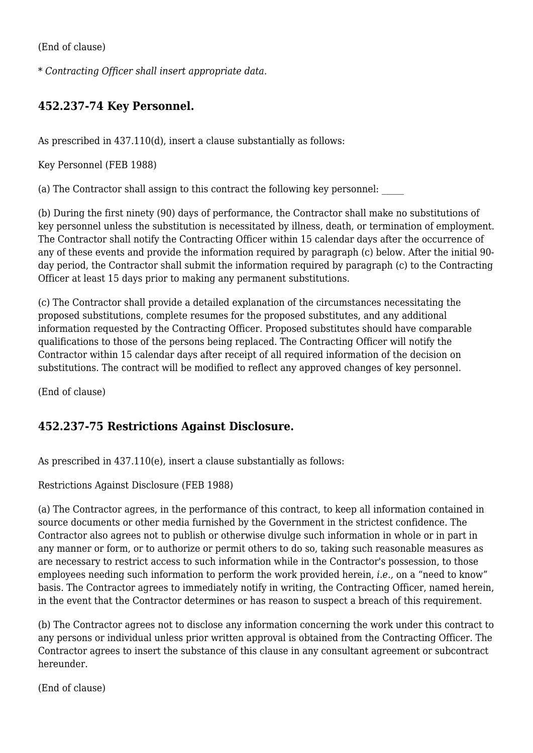(End of clause)

\* *Contracting Officer shall insert appropriate data.*

## **452.237-74 Key Personnel.**

As prescribed in 437.110(d), insert a clause substantially as follows:

Key Personnel (FEB 1988)

(a) The Contractor shall assign to this contract the following key personnel: \_\_\_\_\_

(b) During the first ninety (90) days of performance, the Contractor shall make no substitutions of key personnel unless the substitution is necessitated by illness, death, or termination of employment. The Contractor shall notify the Contracting Officer within 15 calendar days after the occurrence of any of these events and provide the information required by paragraph (c) below. After the initial 90 day period, the Contractor shall submit the information required by paragraph (c) to the Contracting Officer at least 15 days prior to making any permanent substitutions.

(c) The Contractor shall provide a detailed explanation of the circumstances necessitating the proposed substitutions, complete resumes for the proposed substitutes, and any additional information requested by the Contracting Officer. Proposed substitutes should have comparable qualifications to those of the persons being replaced. The Contracting Officer will notify the Contractor within 15 calendar days after receipt of all required information of the decision on substitutions. The contract will be modified to reflect any approved changes of key personnel.

(End of clause)

## **452.237-75 Restrictions Against Disclosure.**

As prescribed in 437.110(e), insert a clause substantially as follows:

Restrictions Against Disclosure (FEB 1988)

(a) The Contractor agrees, in the performance of this contract, to keep all information contained in source documents or other media furnished by the Government in the strictest confidence. The Contractor also agrees not to publish or otherwise divulge such information in whole or in part in any manner or form, or to authorize or permit others to do so, taking such reasonable measures as are necessary to restrict access to such information while in the Contractor's possession, to those employees needing such information to perform the work provided herein, *i.e.,* on a "need to know" basis. The Contractor agrees to immediately notify in writing, the Contracting Officer, named herein, in the event that the Contractor determines or has reason to suspect a breach of this requirement.

(b) The Contractor agrees not to disclose any information concerning the work under this contract to any persons or individual unless prior written approval is obtained from the Contracting Officer. The Contractor agrees to insert the substance of this clause in any consultant agreement or subcontract hereunder.

(End of clause)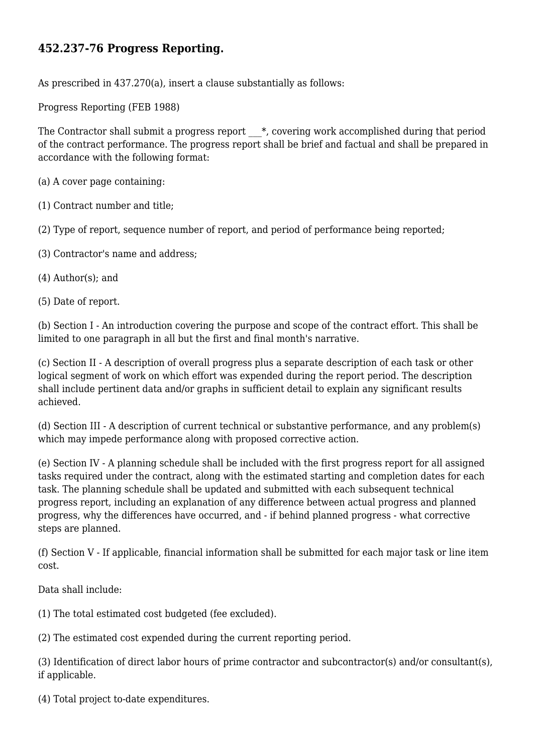## **452.237-76 Progress Reporting.**

As prescribed in 437.270(a), insert a clause substantially as follows:

Progress Reporting (FEB 1988)

The Contractor shall submit a progress report  $*$ , covering work accomplished during that period of the contract performance. The progress report shall be brief and factual and shall be prepared in accordance with the following format:

(a) A cover page containing:

(1) Contract number and title;

(2) Type of report, sequence number of report, and period of performance being reported;

- (3) Contractor's name and address;
- (4) Author(s); and
- (5) Date of report.

(b) Section I - An introduction covering the purpose and scope of the contract effort. This shall be limited to one paragraph in all but the first and final month's narrative.

(c) Section II - A description of overall progress plus a separate description of each task or other logical segment of work on which effort was expended during the report period. The description shall include pertinent data and/or graphs in sufficient detail to explain any significant results achieved.

(d) Section III - A description of current technical or substantive performance, and any problem(s) which may impede performance along with proposed corrective action.

(e) Section IV - A planning schedule shall be included with the first progress report for all assigned tasks required under the contract, along with the estimated starting and completion dates for each task. The planning schedule shall be updated and submitted with each subsequent technical progress report, including an explanation of any difference between actual progress and planned progress, why the differences have occurred, and - if behind planned progress - what corrective steps are planned.

(f) Section V - If applicable, financial information shall be submitted for each major task or line item cost.

Data shall include:

(1) The total estimated cost budgeted (fee excluded).

(2) The estimated cost expended during the current reporting period.

(3) Identification of direct labor hours of prime contractor and subcontractor(s) and/or consultant(s), if applicable.

(4) Total project to-date expenditures.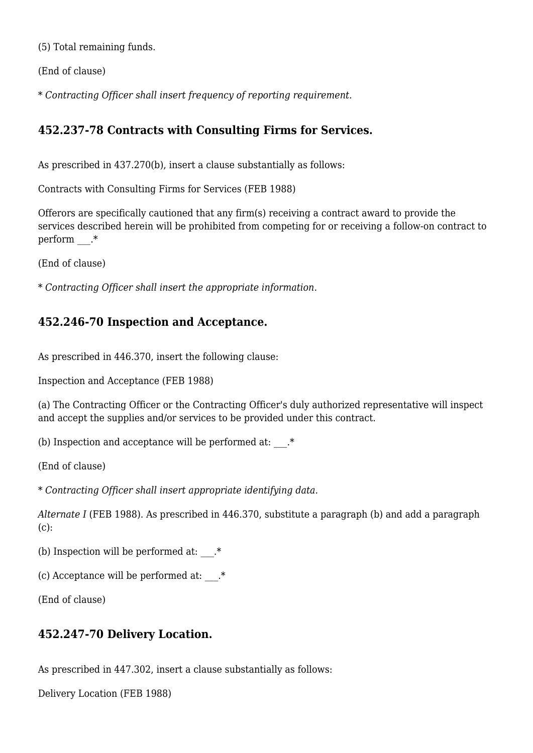(5) Total remaining funds.

(End of clause)

\* *Contracting Officer shall insert frequency of reporting requirement.*

## **452.237-78 Contracts with Consulting Firms for Services.**

As prescribed in 437.270(b), insert a clause substantially as follows:

Contracts with Consulting Firms for Services (FEB 1988)

Offerors are specifically cautioned that any firm(s) receiving a contract award to provide the services described herein will be prohibited from competing for or receiving a follow-on contract to perform  $.*$ 

(End of clause)

\* *Contracting Officer shall insert the appropriate information.*

## **452.246-70 Inspection and Acceptance.**

As prescribed in 446.370, insert the following clause:

Inspection and Acceptance (FEB 1988)

(a) The Contracting Officer or the Contracting Officer's duly authorized representative will inspect and accept the supplies and/or services to be provided under this contract.

(b) Inspection and acceptance will be performed at:  $.*$ 

(End of clause)

\* *Contracting Officer shall insert appropriate identifying data.*

*Alternate I* (FEB 1988). As prescribed in 446.370, substitute a paragraph (b) and add a paragraph  $(c):$ 

(b) Inspection will be performed at:  $.*$ 

(c) Acceptance will be performed at:  $.*$ 

(End of clause)

#### **452.247-70 Delivery Location.**

As prescribed in 447.302, insert a clause substantially as follows:

Delivery Location (FEB 1988)